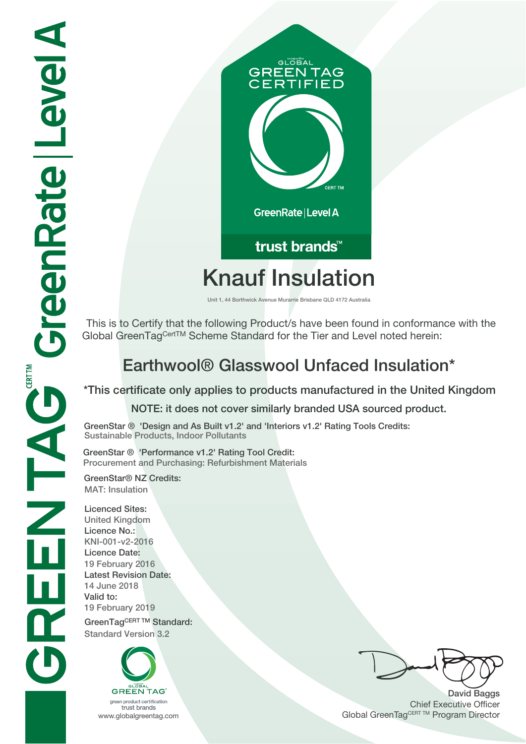# **GLOBAL GREEN TAG IFIED** GreenRate | Level A trust brands<sup>™</sup>

# **Knauf Insulation**

**Unit 1, 44 Borthwick Avenue Murarrie Brisbane QLD 4172 Australia**

 This is to Certify that the following Product/s have been found in conformance with the Global GreenTagCertTM Scheme Standard for the Tier and Level noted herein:

## **Earthwool® Glasswool Unfaced Insulation\***

#### **\*This certificate only applies to products manufactured in the United Kingdom NOTE: it does not cover similarly branded USA sourced product.**

**GreenStar ® 'Design and As Built v1.2' and 'Interiors v1.2' Rating Tools Credits: Sustainable Products, Indoor Pollutants**

**GreenStar ® 'Performance v1.2' Rating Tool Credit: Procurement and Purchasing: Refurbishment Materials**

**GreenStar® NZ Credits: MAT: Insulation**

**Licenced Sites: United Kingdom Licence No.: KNI-001-v2-2016 Licence Date: 19 February 2016 Latest Revision Date: 14 June 2018 Valid to: 19 February 2019 GreenTagCERT TM Standard: Standard Version 3.2**



**David Baggs** Chief Executive Officer WWW.globalgreentag.com **Program Director** Clobal GreenTagCERT TM Program Director